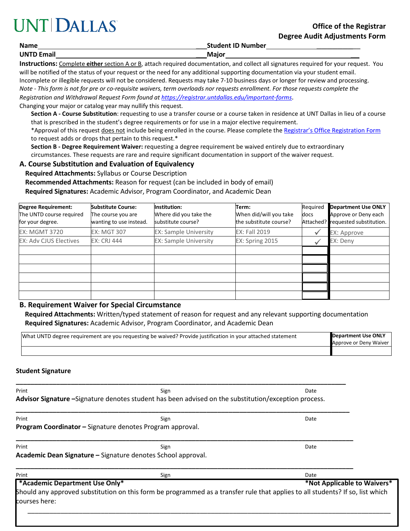# **UNT DALLAS**

**Name** \_\_\_**Student ID Number** \_\_\_\_\_\_\_\_\_

**UNTD Email** \_\_\_**Major** \_\_\_\_\_\_

**Instructions:** Complete **either** section A or B, attach required documentation, and collect all signatures required for your request. You will be notified of the status of your request or the need for any additional supporting documentation via your student email.

Incomplete or illegible requests will not be considered. Requests may take 7-10 business days or longer for review and processing. *Note - This form is not for pre or co-requisite waivers, term overloads nor requests enrollment. For those requests complete the* 

*Registration and Withdrawal Request Form found at<https://registrar.untdallas.edu/important-forms>*.

Changing your major or catalog year may nullify this request.

**Section A - Course Substitution**: requesting to use a transfer course or a course taken in residence at UNT Dallas in lieu of a course that is prescribed in the student's degree requirements or for use in a major elective requirement.

\*Approval of this request does not include being enrolled in the course. Please complete th[e Registrar's Office Registration Form](https://registrar.untdallas.edu/sites/default/files/reg_add_drop_cancel_withdraw_form_rev_12.5.18_fillable.pdf) to request adds or drops that pertain to this request.\*

**Section B - Degree Requirement Waiver:** requesting a degree requirement be waived entirely due to extraordinary circumstances. These requests are rare and require significant documentation in support of the waiver request.

## **A. Course Substitution and Evaluation of Equivalency**

**Required Attachments:** Syllabus or Course Description

**Recommended Attachments:** Reason for request (can be included in body of email)

**Required Signatures:** Academic Advisor, Program Coordinator, and Academic Dean

| <b>Degree Requirement:</b><br>The UNTD course required<br>for your degree. | <b>Substitute Course:</b><br>The course you are<br>wanting to use instead. | Institution:<br>Where did you take the<br>substitute course? | Term:<br>When did/will you take<br>the substitute course? | Required<br>docs | <b>Department Use ONLY</b><br>Approve or Deny each<br>Attached? requested substitution. |
|----------------------------------------------------------------------------|----------------------------------------------------------------------------|--------------------------------------------------------------|-----------------------------------------------------------|------------------|-----------------------------------------------------------------------------------------|
| <b>EX: MGMT 3720</b>                                                       | <b>EX: MGT 307</b>                                                         | <b>EX: Sample University</b>                                 | <b>EX: Fall 2019</b>                                      |                  | EX: Approve                                                                             |
| <b>EX: Adv CJUS Electives</b>                                              | <b>EX: CRJ 444</b>                                                         | <b>EX: Sample University</b>                                 | EX: Spring 2015                                           |                  | EX: Deny                                                                                |
|                                                                            |                                                                            |                                                              |                                                           |                  |                                                                                         |
|                                                                            |                                                                            |                                                              |                                                           |                  |                                                                                         |
|                                                                            |                                                                            |                                                              |                                                           |                  |                                                                                         |
|                                                                            |                                                                            |                                                              |                                                           |                  |                                                                                         |
|                                                                            |                                                                            |                                                              |                                                           |                  |                                                                                         |
|                                                                            |                                                                            |                                                              |                                                           |                  |                                                                                         |

## **B. Requirement Waiver for Special Circumstance**

**Required Attachments:** Written/typed statement of reason for request and any relevant supporting documentation **Required Signatures:** Academic Advisor, Program Coordinator, and Academic Dean

| What UNTD degree requirement are you requesting be waived? Provide justification in your attached statement | Department Use ONLY<br>Approve or Deny Waiver |
|-------------------------------------------------------------------------------------------------------------|-----------------------------------------------|
|                                                                                                             |                                               |

#### **Student Signature**

| Print                          | Sign                                                                                                                           | Date |
|--------------------------------|--------------------------------------------------------------------------------------------------------------------------------|------|
|                                | Advisor Signature – Signature denotes student has been advised on the substitution/exception process.                          |      |
| Print                          | Sign                                                                                                                           | Date |
|                                | Program Coordinator - Signature denotes Program approval.                                                                      |      |
| Print                          | Sign                                                                                                                           | Date |
|                                | Academic Dean Signature - Signature denotes School approval.                                                                   |      |
| Print                          | Sign                                                                                                                           | Date |
| *Academic Department Use Only* | *Not Applicable to Waivers*                                                                                                    |      |
|                                | Should any approved substitution on this form be programmed as a transfer rule that applies to all students? If so, list which |      |
| courses here:                  |                                                                                                                                |      |